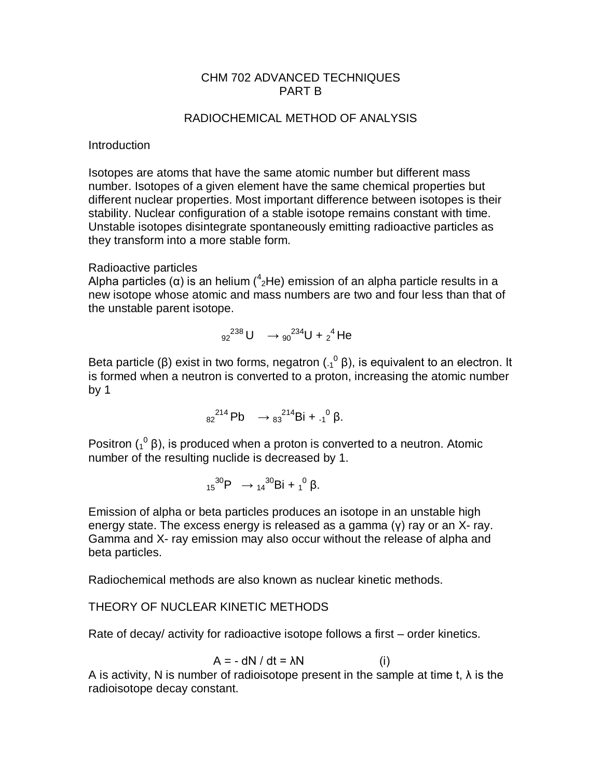## CHM 702 ADVANCED TECHNIQUES PART B

## RADIOCHEMICAL METHOD OF ANALYSIS

### Introduction

Isotopes are atoms that have the same atomic number but different mass number. Isotopes of a given element have the same chemical properties but different nuclear properties. Most important difference between isotopes is their stability. Nuclear configuration of a stable isotope remains constant with time. Unstable isotopes disintegrate spontaneously emitting radioactive particles as they transform into a more stable form.

## Radioactive particles

Alpha particles (α) is an helium ( $^4$ <sub>2</sub>He) emission of an alpha particle results in a new isotope whose atomic and mass numbers are two and four less than that of the unstable parent isotope.

$$
92^{238}U \rightarrow 90^{234}U + 2^4He
$$

Beta particle (β) exist in two forms, negatron ( $\binom{0}{4}$ β), is equivalent to an electron. It is formed when a neutron is converted to a proton, increasing the atomic number by 1

$$
82^{214}Pb \longrightarrow 83^{214}Bi + .1^0 \beta.
$$

Positron  $({}^{0}_{1}$   $\beta)$ , is produced when a proton is converted to a neutron. Atomic number of the resulting nuclide is decreased by 1.

$$
{}_{15}^{30}P \quad \rightarrow {}_{14}^{30}Bi + {}_1{}^0 \beta.
$$

Emission of alpha or beta particles produces an isotope in an unstable high energy state. The excess energy is released as a gamma (γ) ray or an X- ray. Gamma and X- ray emission may also occur without the release of alpha and beta particles.

Radiochemical methods are also known as nuclear kinetic methods.

# THEORY OF NUCLEAR KINETIC METHODS

Rate of decay/ activity for radioactive isotope follows a first – order kinetics.

$$
A = - dN / dt = \lambda N \tag{i}
$$

A is activity, N is number of radioisotope present in the sample at time t,  $\lambda$  is the radioisotope decay constant.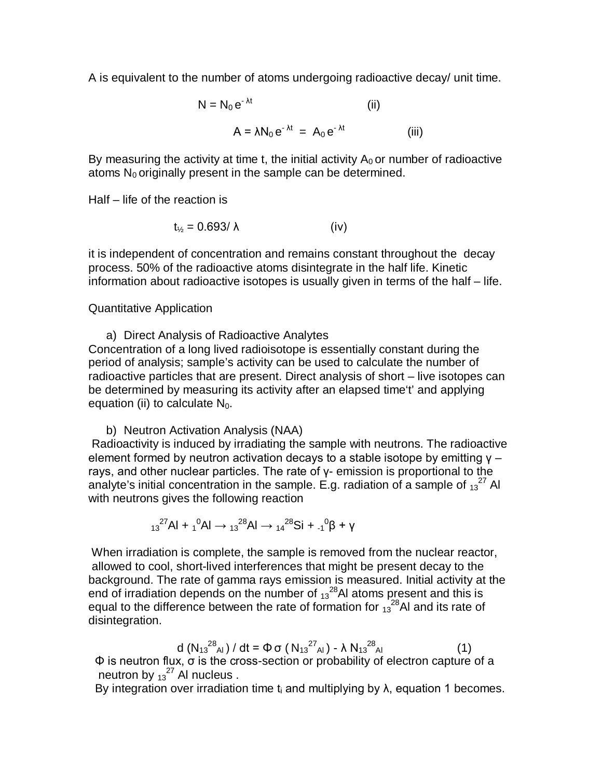A is equivalent to the number of atoms undergoing radioactive decay/ unit time.

$$
N = N_0 e^{-\lambda t}
$$
 (ii)  

$$
A = \lambda N_0 e^{-\lambda t} = A_0 e^{-\lambda t}
$$
 (iii)

By measuring the activity at time t, the initial activity  $A_0$  or number of radioactive atoms  $N_0$  originally present in the sample can be determined.

Half – life of the reaction is

$$
t_{\frac{1}{2}} = 0.693/\lambda \tag{iv}
$$

it is independent of concentration and remains constant throughout the decay process. 50% of the radioactive atoms disintegrate in the half life. Kinetic information about radioactive isotopes is usually given in terms of the half – life.

#### Quantitative Application

a) Direct Analysis of Radioactive Analytes Concentration of a long lived radioisotope is essentially constant during the period of analysis; sample's activity can be used to calculate the number of radioactive particles that are present. Direct analysis of short – live isotopes can be determined by measuring its activity after an elapsed time't' and applying equation (ii) to calculate  $N_0$ .

b) Neutron Activation Analysis (NAA) Radioactivity is induced by irradiating the sample with neutrons. The radioactive element formed by neutron activation decays to a stable isotope by emitting  $y$ rays, and other nuclear particles. The rate of γ- emission is proportional to the analyte's initial concentration in the sample. E.g. radiation of a sample of  $_{13}^{27}$  Al with neutrons gives the following reaction

$$
{}_{13}{}^{27}Al + {}_1{}^{0}Al \rightarrow {}_{13}{}^{28}Al \rightarrow {}_{14}{}^{28}Si + {}_{1}{}^{0}\beta + \gamma
$$

When irradiation is complete, the sample is removed from the nuclear reactor, allowed to cool, short-lived interferences that might be present decay to the background. The rate of gamma rays emission is measured. Initial activity at the end of irradiation depends on the number of  $_{13}^{28}$ AI atoms present and this is equal to the difference between the rate of formation for  $13^{28}$ Al and its rate of disintegration.

d 
$$
(N_{13}^{28}A_I) / dt = \Phi \sigma (N_{13}^{27}A_I) - \lambda N_{13}^{28}A_I
$$
 (1)

Φ is neutron flux, σ is the cross-section or probability of electron capture of a neutron by  $13^{27}$  Al nucleus.

By integration over irradiation time t<sub>i</sub> and multiplying by  $\lambda$ , equation 1 becomes.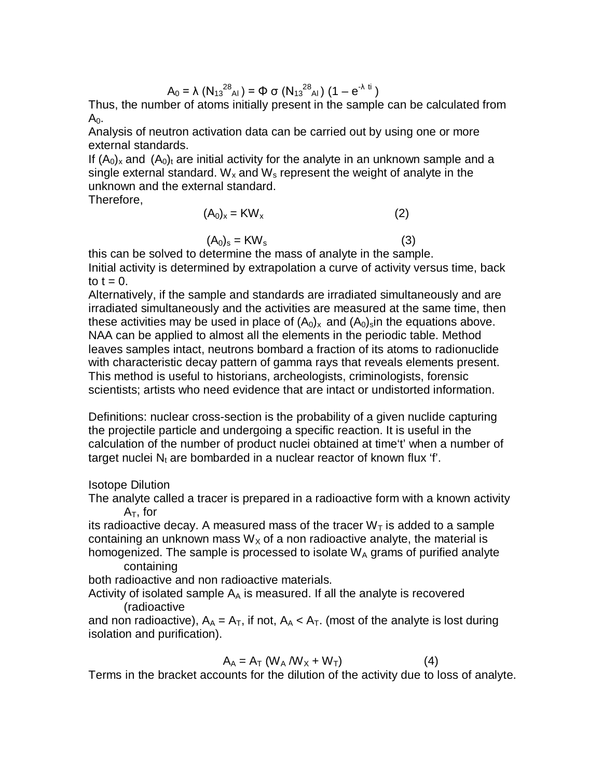$$
A_0 = \lambda (N_{13}^{28}A_1) = \Phi \sigma (N_{13}^{28}A_1) (1 - e^{-\lambda t})
$$

Thus, the number of atoms initially present in the sample can be calculated from  $A<sub>0</sub>$ .

Analysis of neutron activation data can be carried out by using one or more external standards.

If  $(A_0)_x$  and  $(A_0)_t$  are initial activity for the analyte in an unknown sample and a single external standard.  $W_x$  and  $W_s$  represent the weight of analyte in the unknown and the external standard.

Therefore,

$$
(A_0)_x = KW_x \tag{2}
$$

$$
(A_0)_s = KW_s \tag{3}
$$

this can be solved to determine the mass of analyte in the sample. Initial activity is determined by extrapolation a curve of activity versus time, back to  $t = 0$ .

Alternatively, if the sample and standards are irradiated simultaneously and are irradiated simultaneously and the activities are measured at the same time, then these activities may be used in place of  $(A_0)_x$  and  $(A_0)_s$  in the equations above. NAA can be applied to almost all the elements in the periodic table. Method leaves samples intact, neutrons bombard a fraction of its atoms to radionuclide with characteristic decay pattern of gamma rays that reveals elements present. This method is useful to historians, archeologists, criminologists, forensic scientists; artists who need evidence that are intact or undistorted information.

Definitions: nuclear cross-section is the probability of a given nuclide capturing the projectile particle and undergoing a specific reaction. It is useful in the calculation of the number of product nuclei obtained at time't' when a number of target nuclei  $N_t$  are bombarded in a nuclear reactor of known flux 'f'.

## Isotope Dilution

The analyte called a tracer is prepared in a radioactive form with a known activity A $_{\sf T}$ , for

its radioactive decay. A measured mass of the tracer  $W<sub>T</sub>$  is added to a sample containing an unknown mass  $W_x$  of a non radioactive analyte, the material is homogenized. The sample is processed to isolate  $W_A$  grams of purified analyte containing

both radioactive and non radioactive materials.

Activity of isolated sample  $A_A$  is measured. If all the analyte is recovered (radioactive

and non radioactive),  $A_A = A_T$ , if not,  $A_A < A_T$ . (most of the analyte is lost during isolation and purification).

$$
A_A = A_T (W_A/W_X + W_T)
$$
 (4)

Terms in the bracket accounts for the dilution of the activity due to loss of analyte.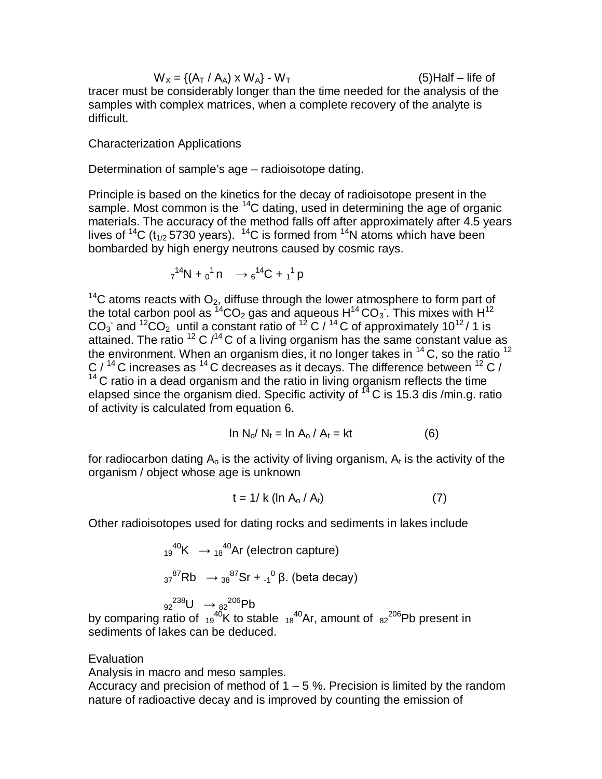$W_X = \{(A_T / A_A) \times W_A\} - W_T$  (5)Half – life of tracer must be considerably longer than the time needed for the analysis of the samples with complex matrices, when a complete recovery of the analyte is difficult.

Characterization Applications

Determination of sample's age – radioisotope dating.

Principle is based on the kinetics for the decay of radioisotope present in the sample. Most common is the  ${}^{14}C$  dating, used in determining the age of organic materials. The accuracy of the method falls off after approximately after 4.5 years lives of <sup>14</sup>C (t<sub>1/2</sub> 5730 years). <sup>14</sup>C is formed from <sup>14</sup>N atoms which have been bombarded by high energy neutrons caused by cosmic rays.

$$
7^{14}N + 0^1n \rightarrow 6^{14}C + 1^1p
$$

<sup>14</sup>C atoms reacts with  $O_2$ , diffuse through the lower atmosphere to form part of the total carbon pool as  ${}^{14}CO_2$  gas and aqueous  $H^{14}CO_3$ . This mixes with  $H^{12}$ CO<sub>3</sub> and <sup>12</sup>CO<sub>2</sub> until a constant ratio of <sup>12</sup> C / <sup>14</sup> C of approximately 10<sup>12</sup>/ 1 is attained. The ratio  $^{12}$  C  $/^{14}$ C of a living organism has the same constant value as the environment. When an organism dies, it no longer takes in  $^{14}$  C, so the ratio  $^{12}$ C  $/$  <sup>14</sup> C increases as <sup>14</sup> C decreases as it decays. The difference between <sup>12</sup> C  $/$ <sup>14</sup> C ratio in a dead organism and the ratio in living organism reflects the time elapsed since the organism died. Specific activity of  $^{14}$ C is 15.3 dis /min.g. ratio of activity is calculated from equation 6.

$$
\ln N_0/N_t = \ln A_0/A_t = kt \tag{6}
$$

for radiocarbon dating  $\mathsf{A}_\mathsf{o}$  is the activity of living organism,  $\mathsf{A}_\mathsf{t}$  is the activity of the organism / object whose age is unknown

$$
t = 1 / k \left( \ln A_0 / A_t \right) \tag{7}
$$

Other radioisotopes used for dating rocks and sediments in lakes include

$$
{}_{19}^{40}\text{K} \rightarrow {}_{18}^{40}\text{Ar (electron capture)}
$$
\n
$$
{}_{37}^{87}\text{Rb} \rightarrow {}_{38}^{87}\text{Sr} + {}_{4}^{0}\beta. \text{ (beta decay)}
$$
\n
$$
{}_{92}^{238}\text{U} \rightarrow {}_{82}^{206}\text{Pb}
$$

by comparing ratio of  $19^{40}$ K to stable  $18^{40}$ Ar, amount of  $182^{206}$ Pb present in sediments of lakes can be deduced.

#### **Evaluation**

Analysis in macro and meso samples.

Accuracy and precision of method of  $1 - 5$ %. Precision is limited by the random nature of radioactive decay and is improved by counting the emission of